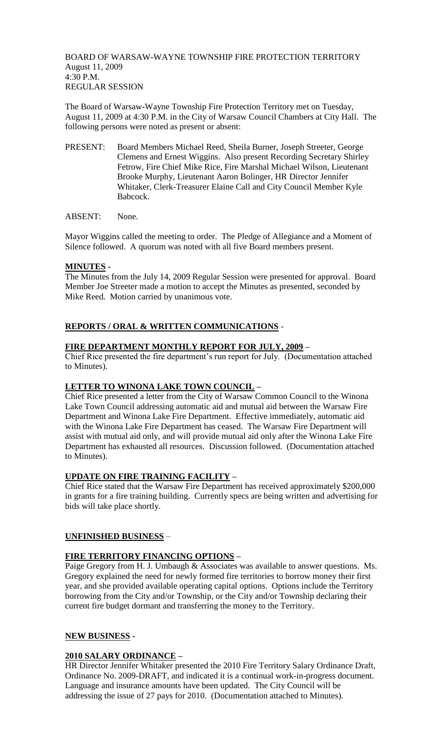BOARD OF WARSAW-WAYNE TOWNSHIP FIRE PROTECTION TERRITORY August 11, 2009 4:30 P.M. REGULAR SESSION

The Board of Warsaw-Wayne Township Fire Protection Territory met on Tuesday, August 11, 2009 at 4:30 P.M. in the City of Warsaw Council Chambers at City Hall. The following persons were noted as present or absent:

PRESENT: Board Members Michael Reed, Sheila Burner, Joseph Streeter, George Clemens and Ernest Wiggins. Also present Recording Secretary Shirley Fetrow, Fire Chief Mike Rice, Fire Marshal Michael Wilson, Lieutenant Brooke Murphy, Lieutenant Aaron Bolinger, HR Director Jennifer Whitaker, Clerk-Treasurer Elaine Call and City Council Member Kyle Babcock.

ABSENT: None.

Mayor Wiggins called the meeting to order. The Pledge of Allegiance and a Moment of Silence followed. A quorum was noted with all five Board members present.

## **MINUTES -**

The Minutes from the July 14, 2009 Regular Session were presented for approval. Board Member Joe Streeter made a motion to accept the Minutes as presented, seconded by Mike Reed. Motion carried by unanimous vote.

## **REPORTS / ORAL & WRITTEN COMMUNICATIONS** -

## **FIRE DEPARTMENT MONTHLY REPORT FOR JULY, 2009 –**

Chief Rice presented the fire department's run report for July. (Documentation attached to Minutes).

## **LETTER TO WINONA LAKE TOWN COUNCIL –**

Chief Rice presented a letter from the City of Warsaw Common Council to the Winona Lake Town Council addressing automatic aid and mutual aid between the Warsaw Fire Department and Winona Lake Fire Department. Effective immediately, automatic aid with the Winona Lake Fire Department has ceased. The Warsaw Fire Department will assist with mutual aid only, and will provide mutual aid only after the Winona Lake Fire Department has exhausted all resources. Discussion followed. (Documentation attached to Minutes).

## **UPDATE ON FIRE TRAINING FACILITY –**

Chief Rice stated that the Warsaw Fire Department has received approximately \$200,000 in grants for a fire training building. Currently specs are being written and advertising for bids will take place shortly.

## **UNFINISHED BUSINESS** –

## **FIRE TERRITORY FINANCING OPTIONS –**

Paige Gregory from H. J. Umbaugh & Associates was available to answer questions. Ms. Gregory explained the need for newly formed fire territories to borrow money their first year, and she provided available operating capital options. Options include the Territory borrowing from the City and/or Township, or the City and/or Township declaring their current fire budget dormant and transferring the money to the Territory.

#### **NEW BUSINESS -**

## **2010 SALARY ORDINANCE –**

HR Director Jennifer Whitaker presented the 2010 Fire Territory Salary Ordinance Draft, Ordinance No. 2009-DRAFT, and indicated it is a continual work-in-progress document. Language and insurance amounts have been updated. The City Council will be addressing the issue of 27 pays for 2010. (Documentation attached to Minutes).